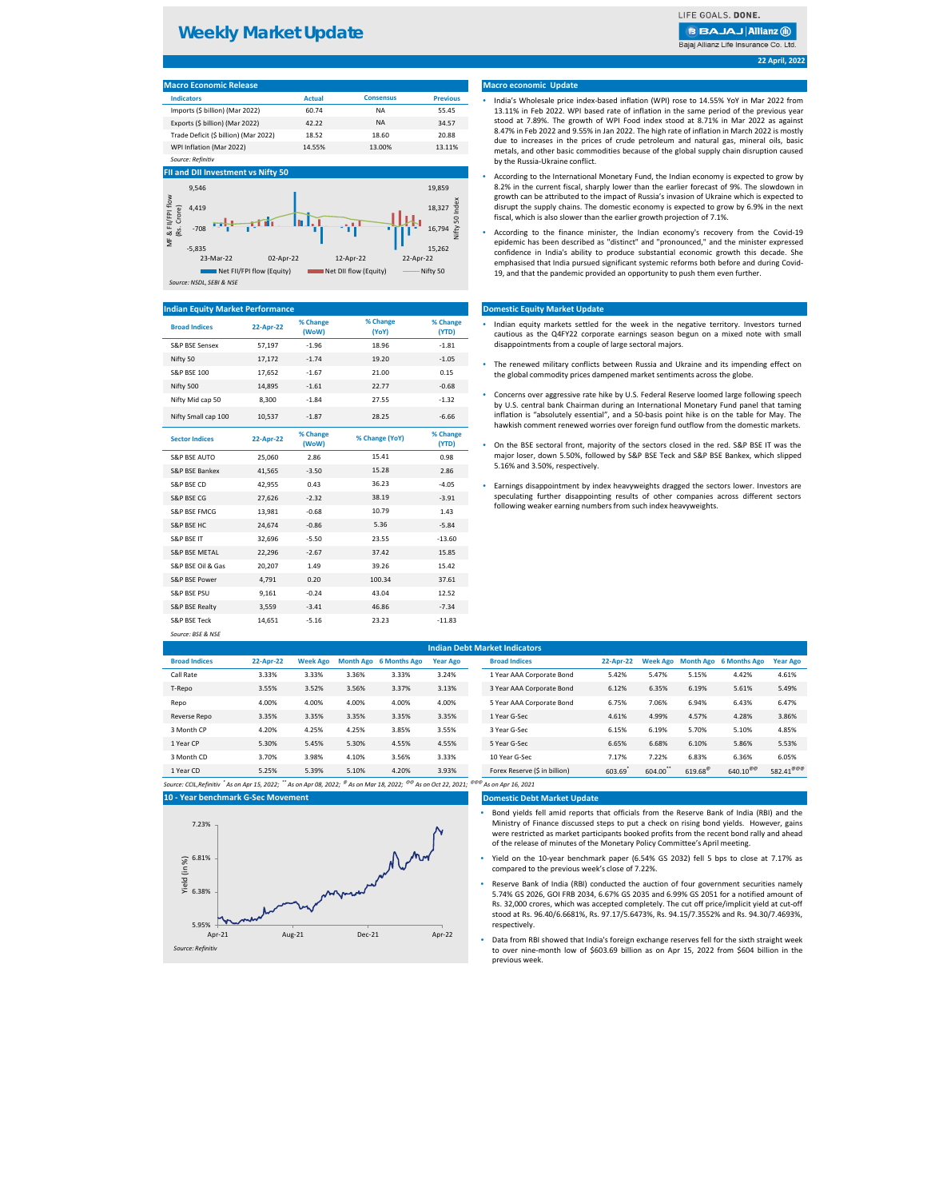| <b>IVIDED ECONOMIC INCICUSE</b>       |               |                  |                 |
|---------------------------------------|---------------|------------------|-----------------|
| <b>Indicators</b>                     | <b>Actual</b> | <b>Consensus</b> | <b>Previous</b> |
| Imports (\$ billion) (Mar 2022)       | 60.74         | ΝA               | 55.45           |
| Exports (\$ billion) (Mar 2022)       | 42.22         | ΝA               | 34.57           |
| Trade Deficit (\$ billion) (Mar 2022) | 18.52         | 18.60            | 20.88           |
| WPI Inflation (Mar 2022)              | 14.55%        | 13.00%           | 13.11%          |
| Source: Refinitiv                     |               |                  |                 |

| <b>Broad Indices</b>     | 22-Apr-22 | % Change<br>(WoW) | % Change<br>(YoY) | % Change<br>(YTD) | Indian equity markets settled for the week in the negative territory. Investor<br>cautious as the Q4FY22 corporate earnings season begun on a mixed note w          |
|--------------------------|-----------|-------------------|-------------------|-------------------|---------------------------------------------------------------------------------------------------------------------------------------------------------------------|
| S&P BSE Sensex           | 57,197    | $-1.96$           | 18.96             | $-1.81$           | disappointments from a couple of large sectoral majors.                                                                                                             |
| Nifty 50                 | 17,172    | $-1.74$           | 19.20             | $-1.05$           | The renewed military conflicts between Russia and Ukraine and its impending                                                                                         |
| <b>S&amp;P BSE 100</b>   | 17,652    | $-1.67$           | 21.00             | 0.15              | the global commodity prices dampened market sentiments across the globe.                                                                                            |
| Nifty 500                | 14,895    | $-1.61$           | 22.77             | $-0.68$           |                                                                                                                                                                     |
| Nifty Mid cap 50         | 8,300     | $-1.84$           | 27.55             | $-1.32$           | Concerns over aggressive rate hike by U.S. Federal Reserve loomed large followir<br>by U.S. central bank Chairman during an International Monetary Fund panel that  |
| Nifty Small cap 100      | 10,537    | $-1.87$           | 28.25             | $-6.66$           | inflation is "absolutely essential", and a 50-basis point hike is on the table for I<br>hawkish comment renewed worries over foreign fund outflow from the domestic |
| <b>Sector Indices</b>    | 22-Apr-22 | % Change<br>(WoW) | % Change (YoY)    | % Change<br>(YTD) | On the BSE sectoral front, majority of the sectors closed in the red. S&P BSE IT<br>$\bullet$                                                                       |
| <b>S&amp;P BSE AUTO</b>  | 25,060    | 2.86              | 15.41             | 0.98              | major loser, down 5.50%, followed by S&P BSE Teck and S&P BSE Bankex, whic                                                                                          |
| S&P BSE Bankex           | 41,565    | $-3.50$           | 15.28             | 2.86              | 5.16% and 3.50%, respectively.                                                                                                                                      |
| S&P BSE CD               | 42,955    | 0.43              | 36.23             | $-4.05$           | Earnings disappointment by index heavyweights dragged the sectors lower. Inve                                                                                       |
| S&P BSE CG               | 27,626    | $-2.32$           | 38.19             | $-3.91$           | speculating further disappointing results of other companies across different                                                                                       |
| S&P BSE FMCG             | 13,981    | $-0.68$           | 10.79             | 1.43              | following weaker earning numbers from such index heavyweights.                                                                                                      |
| <b>S&amp;P BSE HC</b>    | 24,674    | $-0.86$           | 5.36              | $-5.84$           |                                                                                                                                                                     |
| <b>S&amp;P BSE IT</b>    | 32,696    | $-5.50$           | 23.55             | $-13.60$          |                                                                                                                                                                     |
| <b>S&amp;P BSE METAL</b> | 22,296    | $-2.67$           | 37.42             | 15.85             |                                                                                                                                                                     |
| S&P BSE Oil & Gas        | 20,207    | 1.49              | 39.26             | 15.42             |                                                                                                                                                                     |
| S&P BSE Power            | 4,791     | 0.20              | 100.34            | 37.61             |                                                                                                                                                                     |
| <b>S&amp;P BSE PSU</b>   | 9,161     | $-0.24$           | 43.04             | 12.52             |                                                                                                                                                                     |
| S&P BSE Realty           | 3,559     | $-3.41$           | 46.86             | $-7.34$           |                                                                                                                                                                     |
| S&P BSE Teck             | 14,651    | $-5.16$           | 23.23             | $-11.83$          |                                                                                                                                                                     |
| Source: BSE & NSE        |           |                   |                   |                   |                                                                                                                                                                     |

| <b>Indian Debt Market Indicators</b> |           |                 |       |                        |                 |                           |           |       |       |                                 |                 |
|--------------------------------------|-----------|-----------------|-------|------------------------|-----------------|---------------------------|-----------|-------|-------|---------------------------------|-----------------|
| <b>Broad Indices</b>                 | 22-Apr-22 | <b>Week Ago</b> |       | Month Ago 6 Months Ago | <b>Year Ago</b> | <b>Broad Indices</b>      | 22-Apr-22 |       |       | Week Ago Month Ago 6 Months Ago | <b>Year Ago</b> |
| Call Rate                            | 3.33%     | 3.33%           | 3.36% | 3.33%                  | 3.24%           | 1 Year AAA Corporate Bond | 5.42%     | 5.47% | 5.15% | 4.42%                           | 4.61%           |
| T-Repo                               | 3.55%     | 3.52%           | 3.56% | 3.37%                  | 3.13%           | 3 Year AAA Corporate Bond | 6.12%     | 6.35% | 6.19% | 5.61%                           | 5.49%           |
| Repo                                 | 4.00%     | 4.00%           | 4.00% | 4.00%                  | 4.00%           | 5 Year AAA Corporate Bond | 6.75%     | 7.06% | 6.94% | 6.43%                           | 6.47%           |
| Reverse Repo                         | 3.35%     | 3.35%           | 3.35% | 3.35%                  | 3.35%           | 1 Year G-Sec              | 4.61%     | 4.99% | 4.57% | 4.28%                           | 3.86%           |
| 3 Month CP                           | 4.20%     | 4.25%           | 4.25% | 3.85%                  | 3.55%           | 3 Year G-Sec              | 6.15%     | 6.19% | 5.70% | 5.10%                           | 4.85%           |
| 1 Year CP                            | 5.30%     | 5.45%           | 5.30% | 4.55%                  | 4.55%           | 5 Year G-Sec              | 6.65%     | 6.68% | 6.10% | 5.86%                           | 5.53%           |

| 3 Month CD | 3.70% | 3.98% | 4.10% | 3.56% | 3.33% | 10 Year G-Sec                 | 7.17%  | 7.330.<br>.22% | 6.83%            | 5.36%              | 6.05%              |
|------------|-------|-------|-------|-------|-------|-------------------------------|--------|----------------|------------------|--------------------|--------------------|
| 1 Year CD  | 5.25% | 5.39% | 5.10% | 4.20% | 3.93% | Forex Reserve (\$ in billion) | 603.69 | 寒床<br>604.00   | $619.68^{\circ}$ | $640.10^{\degree}$ | 1.1000<br>$582.4+$ |

#### **Domestic Debt Market Update**

```
22 April, 2022
```
#### **Macro economic Update**

#### **Domestic Equity Market Update**

#### **Indian Equity Market Performance**

#### **FII and DII Investment vs Nifty 50**

#### **Macro Economic Release**

- Indian equity markets settled for the week in the negative territory. Investors turned cautious as the Q4FY22 corporate earnings season begun on a mixed note with small disappointments from a couple of large sectoral majors.
- The renewed military conflicts between Russia and Ukraine and its impending effect on the global commodity prices dampened market sentiments across the globe.
- Concerns over aggressive rate hike by U.S. Federal Reserve loomed large following speech by U.S. central bank Chairman during an International Monetary Fund panel that taming inflation is "absolutely essential", and a 50-basis point hike is on the table for May. The hawkish comment renewed worries over foreign fund outflow from the domestic markets.
- On the BSE sectoral front, majority of the sectors closed in the red. S&P BSE IT was the major loser, down 5.50%, followed by S&P BSE Teck and S&P BSE Bankex, which slipped 5.16% and 3.50%, respectively.
- Earnings disappointment by index heavyweights dragged the sectors lower. Investors are speculating further disappointing results of other companies across different sectors

## **Weekly Market Update**

LIFE GOALS. DONE.

### **BBAJAJ Allianz M**

Bajaj Allianz Life Insurance Co. Ltd.





- India's Wholesale price index-based inflation (WPI) rose to 14.55% YoY in Mar 2022 from 13.11% in Feb 2022. WPI based rate of inflation in the same period of the previous year stood at 7.89%. The growth of WPI Food index stood at 8.71% in Mar 2022 as against 8.47% in Feb 2022 and 9.55% in Jan 2022. The high rate of inflation in March 2022 is mostly due to increases in the prices of crude petroleum and natural gas, mineral oils, basic metals, and other basic commodities because of the global supply chain disruption caused by the Russia-Ukraine conflict.
- According to the International Monetary Fund, the Indian economy is expected to grow by 8.2% in the current fiscal, sharply lower than the earlier forecast of 9%. The slowdown in growth can be attributed to the impact of Russia's invasion of Ukraine which is expected to disrupt the supply chains. The domestic economy is expected to grow by 6.9% in the next fiscal, which is also slower than the earlier growth projection of 7.1%.
- According to the finance minister, the Indian economy's recovery from the Covid-19 epidemic has been described as "distinct" and "pronounced," and the minister expressed confidence in India's ability to produce substantial economic growth this decade. She emphasised that India pursued significant systemic reforms both before and during Covid-19, and that the pandemic provided an opportunity to push them even further.

- Bond yields fell amid reports that officials from the Reserve Bank of India (RBI) and the Ministry of Finance discussed steps to put a check on rising bond yields. However, gains were restricted as market participants booked profits from the recent bond rally and ahead of the release of minutes of the Monetary Policy Committee's April meeting.
- Yield on the 10-year benchmark paper (6.54% GS 2032) fell 5 bps to close at 7.17% as compared to the previous week's close of 7.22%.
- Reserve Bank of India (RBI) conducted the auction of four government securities namely 5.74% GS 2026, GOI FRB 2034, 6.67% GS 2035 and 6.99% GS 2051 for a notified amount of Rs. 32,000 crores, which was accepted completely. The cut off price/implicit yield at cut-off stood at Rs. 96.40/6.6681%, Rs. 97.17/5.6473%, Rs. 94.15/7.3552% and Rs. 94.30/7.4693%, respectively.
- Data from RBI showed that India's foreign exchange reserves fell for the sixth straight week to over nine-month low of \$603.69 billion as on Apr 15, 2022 from \$604 billion in the previous week.